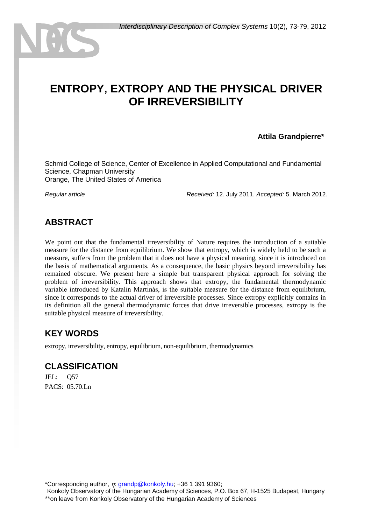# **ENTROPY, EXTROPY AND THE PHYSICAL DRIVER OF IRREVERSIBILITY**

#### **Attila Grandpierre\***

Schmid College of Science, Center of Excellence in Applied Computational and Fundamental Science, Chapman University Orange, The United States of America

*Regular article Received:* 12. July 2011. *Accepted:* 5. March 2012.

#### **ABSTRACT**

We point out that the fundamental irreversibility of Nature requires the introduction of a suitable measure for the distance from equilibrium. We show that entropy, which is widely held to be such a measure, suffers from the problem that it does not have a physical meaning, since it is introduced on the basis of mathematical arguments. As a consequence, the basic physics beyond irreversibility has remained obscure. We present here a simple but transparent physical approach for solving the problem of irreversibility. This approach shows that extropy, the fundamental thermodynamic variable introduced by Katalin Martinás, is the suitable measure for the distance from equilibrium, since it corresponds to the actual driver of irreversible processes. Since extropy explicitly contains in its definition all the general thermodynamic forces that drive irreversible processes, extropy is the suitable physical measure of irreversibility.

#### **KEY WORDS**

extropy, irreversibility, entropy, equilibrium, non-equilibrium, thermodynamics

#### **CLASSIFICATION**

JEL: Q57 PACS:  $05.70 Ln$ 

\*Corresponding author,  $\eta$ : [grandp@konkoly.hu;](mailto:grandp@konkoly.hu) +36 1 391 9360;

Konkoly Observatory of the Hungarian Academy of Sciences, P.O. Box 67, H-1525 Budapest, Hungary \*\*on leave from Konkoly Observatory of the Hungarian Academy of Sciences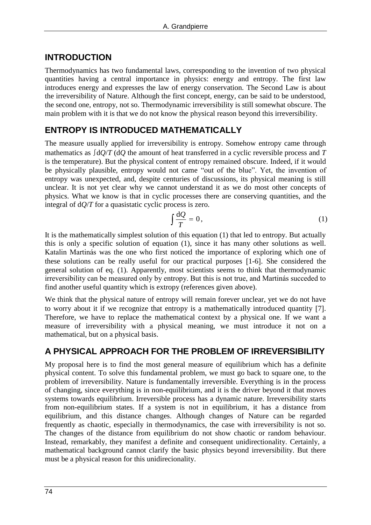#### **INTRODUCTION**

Thermodynamics has two fundamental laws, corresponding to the invention of two physical quantities having a central importance in physics: energy and entropy. The first law introduces energy and expresses the law of energy conservation. The Second Law is about the irreversibility of Nature. Although the first concept, energy, can be said to be understood, the second one, entropy, not so. Thermodynamic irreversibility is still somewhat obscure. The main problem with it is that we do not know the physical reason beyond this irreversibility.

# **ENTROPY IS INTRODUCED MATHEMATICALLY**

The measure usually applied for irreversibility is entropy. Somehow entropy came through mathematics as ∫d*Q*/*T* (d*Q* the amount of heat transferred in a cyclic reversible process and *T* is the temperature). But the physical content of entropy remained obscure. Indeed, if it would be physically plausible, entropy would not came "out of the blue". Yet, the invention of entropy was unexpected, and, despite centuries of discussions, its physical meaning is still unclear. It is not yet clear why we cannot understand it as we do most other concepts of physics. What we know is that in cyclic processes there are conserving quantities, and the integral of  $dQ/T$  for a quasistatic cyclic process is zero.

$$
\int \frac{\mathrm{d}Q}{T} = 0,\tag{1}
$$

It is the mathematically simplest solution of this equation (1) that led to entropy. But actually this is only a specific solution of equation (1), since it has many other solutions as well. Katalin Martinás was the one who first noticed the importance of exploring which one of these solutions can be really useful for our practical purposes  $[1-6]$ . She considered the general solution of eq. (1). Apparently, most scientists seems to think that thermodynamic irreversibility can be measured only by entropy. But this is not true, and Martinás succeded to find another useful quantity which is extropy (references given above).

We think that the physical nature of entropy will remain forever unclear, yet we do not have to worry about it if we recognize that entropy is a mathematically introduced quantity [7]. Therefore, we have to replace the mathematical context by a physical one. If we want a measure of irreversibility with a physical meaning, we must introduce it not on a mathematical, but on a physical basis.

# **A PHYSICAL APPROACH FOR THE PROBLEM OF IRREVERSIBILITY**

My proposal here is to find the most general measure of equilibrium which has a definite physical content. To solve this fundamental problem, we must go back to square one, to the problem of irreversibility. Nature is fundamentally irreversible. Everything is in the process of changing, since everything is in non-equilibrium, and it is the driver beyond it that moves systems towards equilibrium. Irreversible process has a dynamic nature. Irreversibility starts from non-equilibrium states. If a system is not in equilibrium, it has a distance from equilibrium, and this distance changes. Although changes of Nature can be regarded frequently as chaotic, especially in thermodynamics, the case with irreversibility is not so. The changes of the distance from equilibrium do not show chaotic or random behaviour. Instead, remarkably, they manifest a definite and consequent unidirectionality. Certainly, a mathematical background cannot clarify the basic physics beyond irreversibility. But there must be a physical reason for this unidirecionality.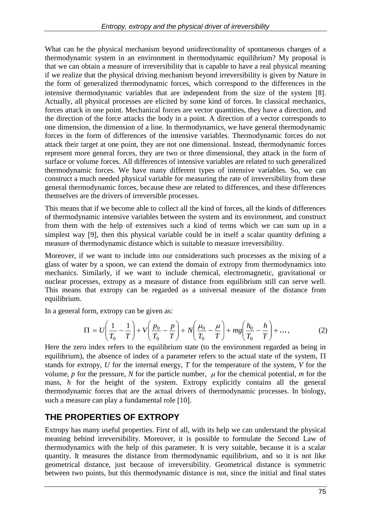What can be the physical mechanism beyond unidirectionality of spontaneous changes of a thermodynamic system in an environment in thermodynamic equilibrium? My proposal is that we can obtain a measure of irreversibility that is capable to have a real physical meaning if we realize that the physical driving mechanism beyond irreversibility is given by Nature in the form of generalized thermodynamic forces, which correspond to the differences in the intensive thermodynamic variables that are independent from the size of the system [8]. Actually, all physical processes are elicited by some kind of forces. In classical mechanics, forces attack in one point. Mechanical forces are vector quantities, they have a direction, and the direction of the force attacks the body in a point. A direction of a vector corresponds to one dimension, the dimension of a line. In thermodynamics, we have general thermodynamic forces in the form of differences of the intensive variables. Thermodynamic forces do not attack their target at one point, they are not one dimensional. Instead, thermodynamic forces represent more general forces, they are two or three dimensional, they attack in the form of surface or volume forces. All differences of intensive variables are related to such generalized thermodynamic forces. We have many different types of intensive variables. So, we can construct a much needed physical variable for measuring the rate of irreversibility from these general thermodynamic forces, because these are related to differences, and these differences themselves are the drivers of irreversible processes.

This means that if we become able to collect all the kind of forces, all the kinds of differences of thermodynamic intensive variables between the system and its environment, and construct from them with the help of extensives such a kind of terms which we can sum up in a simplest way [9], then this physical variable could be in itself a scalar quantity defining a measure of thermodynamic distance which is suitable to measure irreversibility.

Moreover, if we want to include into our considerations such processes as the mixing of a glass of water by a spoon, we can extend the domain of extropy from thermodynamics into mechanics. Similarly, if we want to include chemical, electromagnetic, gravitational or nuclear processes, extropy as a measure of distance from equilibrium still can serve well. This means that extropy can be regarded as a universal measure of the distance from equilibrium.

In a general form, extropy can be given as:

$$
\Pi = U \left( \frac{1}{T_0} - \frac{1}{T} \right) + V \left( \frac{p_0}{T_0} - \frac{p}{T} \right) + N \left( \frac{\mu_0}{T_0} - \frac{\mu}{T} \right) + mg \left( \frac{h_0}{T_0} - \frac{h}{T} \right) + \dots,
$$
 (2)

Here the zero index refers to the equilibrium state (to the environment regarded as being in equilibrium), the absence of index of a parameter refers to the actual state of the system,  $\Pi$ stands for extropy, *U* for the internal energy, *T* for the temperature of the system, *V* for the volume, *p* for the pressure, *N* for the particle number,  $\mu$  for the chemical potential, *m* for the mass, *h* for the height of the system. Extropy explicitly contains all the general thermodynamic forces that are the actual drivers of thermodynamic processes. In biology, such a measure can play a fundamental role [10].

# **THE PROPERTIES OF EXTROPY**

Extropy has many useful properties. First of all, with its help we can understand the physical meaning behind irreversibility. Moreover, it is possible to formulate the Second Law of thermodynamics with the help of this parameter. It is very suitable, because it is a scalar quantity. It measures the distance from thermodynamic equilibrium, and so it is not like geometrical distance, just because of irreversibility. Geometrical distance is symmetric between two points, but this thermodynamic distance is not, since the initial and final states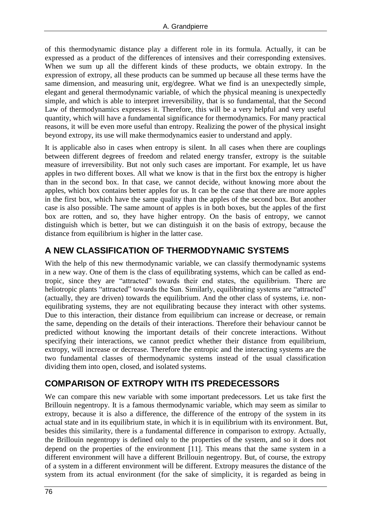of this thermodynamic distance play a different role in its formula. Actually, it can be expressed as a product of the differences of intensives and their corresponding extensives. When we sum up all the different kinds of these products, we obtain extropy. In the expression of extropy, all these products can be summed up because all these terms have the same dimension, and measuring unit, erg/degree. What we find is an unexpectedly simple, elegant and general thermodynamic variable, of which the physical meaning is unexpectedly simple, and which is able to interpret irreversibility, that is so fundamental, that the Second Law of thermodynamics expresses it. Therefore, this will be a very helpful and very useful quantity, which will have a fundamental significance for thermodynamics. For many practical reasons, it will be even more useful than entropy. Realizing the power of the physical insight beyond extropy, its use will make thermodynamics easier to understand and apply.

It is applicable also in cases when entropy is silent. In all cases when there are couplings between different degrees of freedom and related energy transfer, extropy is the suitable measure of irreversibility. But not only such cases are important. For example, let us have apples in two different boxes. All what we know is that in the first box the entropy is higher than in the second box. In that case, we cannot decide, without knowing more about the apples, which box contains better apples for us. It can be the case that there are more apples in the first box, which have the same quality than the apples of the second box. But another case is also possible. The same amount of apples is in both boxes, but the apples of the first box are rotten, and so, they have higher entropy. On the basis of entropy, we cannot distinguish which is better, but we can distinguish it on the basis of extropy, because the distance from equilibrium is higher in the latter case.

# **A NEW CLASSIFICATION OF THERMODYNAMIC SYSTEMS**

With the help of this new thermodynamic variable, we can classify thermodynamic systems in a new way. One of them is the class of equilibrating systems, which can be called as endtropic, since they are "attracted" towards their end states, the equilibrium. There are heliotropic plants "attracted" towards the Sun. Similarly, equilibrating systems are "attracted" (actually, they are driven) towards the equilibrium. And the other class of systems, i.e. nonequilibrating systems, they are not equilibrating because they interact with other systems. Due to this interaction, their distance from equilibrium can increase or decrease, or remain the same, depending on the details of their interactions. Therefore their behaviour cannot be predicted without knowing the important details of their concrete interactions. Without specifying their interactions, we cannot predict whether their distance from equilibrium, extropy, will increase or decrease. Therefore the entropic and the interacting systems are the two fundamental classes of thermodynamic systems instead of the usual classification dividing them into open, closed, and isolated systems.

#### **COMPARISON OF EXTROPY WITH ITS PREDECESSORS**

We can compare this new variable with some important predecessors. Let us take first the Brillouin negentropy. It is a famous thermodynamic variable, which may seem as similar to extropy, because it is also a difference, the difference of the entropy of the system in its actual state and in its equilibrium state, in which it is in equilibrium with its environment. But, besides this similarity, there is a fundamental difference in comparison to extropy. Actually, the Brillouin negentropy is defined only to the properties of the system, and so it does not depend on the properties of the environment  $[11]$ . This means that the same system in a different environment will have a different Brillouin negentropy. But, of course, the extropy of a system in a different environment will be different. Extropy measures the distance of the system from its actual environment (for the sake of simplicity, it is regarded as being in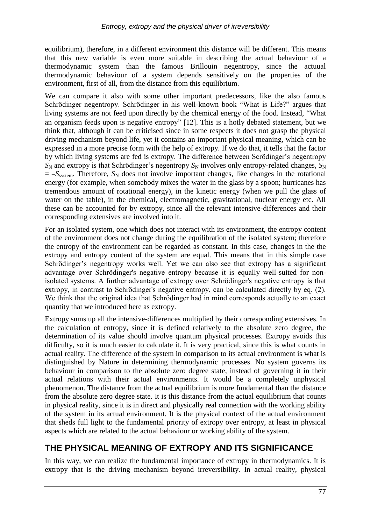equilibrium), therefore, in a different environment this distance will be different. This means that this new variable is even more suitable in describing the actual behaviour of a thermodynamic system than the famous Brillouin negentropy, since the actuual thermodynamic behaviour of a system depends sensitively on the properties of the environment, first of all, from the distance from this equilibrium.

We can compare it also with some other important predecessors, like the also famous Schrödinger negentropy. Schrödinger in his well-known book "What is Life?" argues that living systems are not feed upon directly by the chemical energy of the food. Instead, "What an organism feeds upon is negative entropy" [12]. This is a hotly debated statement, but we think that, although it can be criticised since in some respects it does not grasp the physical driving mechanism beyond life, yet it contains an important physical meaning, which can be expressed in a more precise form with the help of extropy. If we do that, it tells that the factor by which living systems are fed is extropy. The difference between Scrödinger's negentropy  $S_N$  and extropy is that Schrödinger's negentropy  $S_N$  involves only entropy-related changes,  $S_N$  $= -S<sub>system</sub>$ . Therefore,  $S<sub>N</sub>$  does not involve important changes, like changes in the rotational energy (for example, when somebody mixes the water in the glass by a spoon; hurricanes has tremendous amount of rotational energy), in the kinetic energy (when we pull the glass of water on the table), in the chemical, electromagnetic, gravitational, nuclear energy etc. All these can be accounted for by extropy, since all the relevant intensive-differences and their corresponding extensives are involved into it.

For an isolated system, one which does not interact with its environment, the entropy content of the environment does not change during the equilibration of the isolated system; therefore the entropy of the environment can be regarded as constant. In this case, changes in the the extropy and entropy content of the system are equal. This means that in this simple case Schrödinger's negentropy works well. Yet we can also see that extropy has a significant advantage over Schrödinger's negative entropy because it is equally well-suited for nonisolated systems. A further advantage of extropy over Schrödinger's negative entropy is that extropy, in contrast to Schrödinger's negative entropy, can be calculated directly by eq. (2). We think that the original idea that Schrödinger had in mind corresponds actually to an exact quantity that we introduced here as extropy.

Extropy sums up all the intensive-differences multiplied by their corresponding extensives. In the calculation of entropy, since it is defined relatively to the absolute zero degree, the determination of its value should involve quantum physical processes. Extropy avoids this difficulty, so it is much easier to calculate it. It is very practical, since this is what counts in actual reality. The difference of the system in comparison to its actual environment is what is distinguished by Nature in determining thermodynamic processes. No system governs its behaviour in comparison to the absolute zero degree state, instead of governing it in their actual relations with their actual environments. It would be a completely unphysical phenomenon. The distance from the actual equilibrium is more fundamental than the distance from the absolute zero degree state. It is this distance from the actual equilibrium that counts in physical reality, since it is in direct and physically real connection with the working ability of the system in its actual environment. It is the physical context of the actual environment that sheds full light to the fundamental priority of extropy over entropy, at least in physical aspects which are related to the actual behaviour or working ability of the system.

# **THE PHYSICAL MEANING OF EXTROPY AND ITS SIGNIFICANCE**

In this way, we can realize the fundamental importance of extropy in thermodynamics. It is extropy that is the driving mechanism beyond irreversibility. In actual reality, physical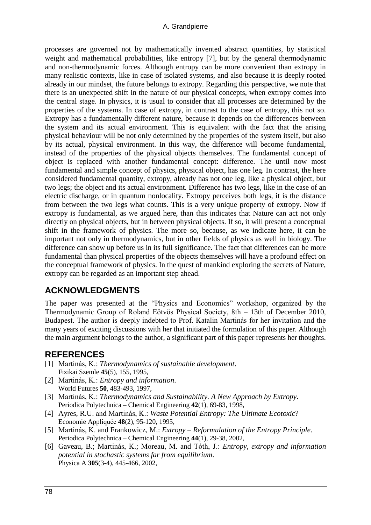processes are governed not by mathematically invented abstract quantities, by statistical weight and mathematical probabilities, like entropy [7], but by the general thermodynamic and non-thermodynamic forces. Although entropy can be more convenient than extropy in many realistic contexts, like in case of isolated systems, and also because it is deeply rooted already in our mindset, the future belongs to extropy. Regarding this perspective, we note that there is an unexpected shift in the nature of our physical concepts, when extropy comes into the central stage. In physics, it is usual to consider that all processes are determined by the properties of the systems. In case of extropy, in contrast to the case of entropy, this not so. Extropy has a fundamentally different nature, because it depends on the differences between the system and its actual environment. This is equivalent with the fact that the arising physical behaviour will be not only determined by the properties of the system itself, but also by its actual, physical environment. In this way, the difference will become fundamental, instead of the properties of the physical objects themselves. The fundamental concept of object is replaced with another fundamental concept: difference. The until now most fundamental and simple concept of physics, physical object, has one leg. In contrast, the here considered fundamental quantity, extropy, already has not one leg, like a physical object, but two legs; the object and its actual environment. Difference has two legs, like in the case of an electric discharge, or in quantum nonlocality. Extropy perceives both legs, it is the distance from between the two legs what counts. This is a very unique property of extropy. Now if extropy is fundamental, as we argued here, than this indicates that Nature can act not only directly on physical objects, but in between physical objects. If so, it will present a conceptual shift in the framework of physics. The more so, because, as we indicate here, it can be important not only in thermodynamics, but in other fields of physics as well in biology. The difference can show up before us in its full significance. The fact that differences can be more fundamental than physical properties of the objects themselves will have a profound effect on the conceptual framework of physics. In the quest of mankind exploring the secrets of Nature, extropy can be regarded as an important step ahead.

# **ACKNOWLEDGMENTS**

The paper was presented at the "Physics and Economics" workshop, organized by the Thermodynamic Group of Roland Eötvös Physical Society, 8th – 13th of December 2010, Budapest. The author is deeply indebted to Prof. Katalin Martinás for her invitation and the many years of exciting discussions with her that initiated the formulation of this paper. Although the main argument belongs to the author, a significant part of this paper represents her thoughts.

#### **REFERENCES**

- [1] Martinás, K.: *Thermodynamics of sustainable development*. Fizikai Szemle **45**(5), 155, 1995,
- [2] Martinás, K.: *Entropy and information*. World Futures **50**, 483-493, 1997,
- [3] Martinás, K.: *Thermodynamics and Sustainability. A New Approach by Extropy*. Periodica Polytechnica – Chemical Engineering **42**(1), 69-83, 1998,
- [4] Ayres, R.U. and Martinás, K.: *Waste Potential Entropy: The Ultimate Ecotoxic*? Economie Appliquée **48**(2), 95-120, 1995,
- [5] Martinás, K. and Frankowicz, M.: *Extropy – Reformulation of the Entropy Principle*. Periodica Polytechnica – Chemical Engineering **44**(1), 29-38, 2002,
- [6] Gaveau, B.; Martinás, K.; Moreau, M. and Tóth, J.: *Entropy, extropy and information potential in stochastic systems far from equilibrium*. Physica A **305**(3-4), 445-466, 2002,